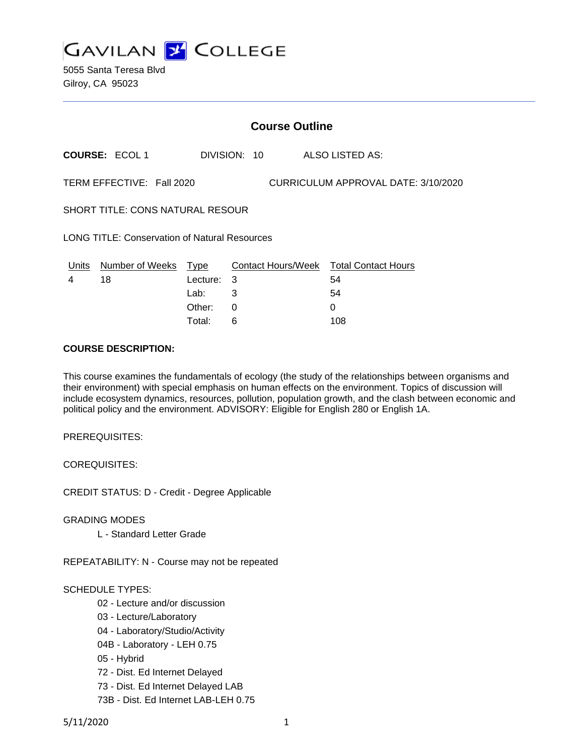

5055 Santa Teresa Blvd Gilroy, CA 95023

|                                                                  | <b>Course Outline</b>      |          |              |                                        |  |  |  |  |
|------------------------------------------------------------------|----------------------------|----------|--------------|----------------------------------------|--|--|--|--|
|                                                                  | <b>COURSE: ECOL 1</b>      |          | DIVISION: 10 | ALSO LISTED AS:                        |  |  |  |  |
| TERM EFFECTIVE: Fall 2020<br>CURRICULUM APPROVAL DATE: 3/10/2020 |                            |          |              |                                        |  |  |  |  |
| <b>SHORT TITLE: CONS NATURAL RESOUR</b>                          |                            |          |              |                                        |  |  |  |  |
| <b>LONG TITLE: Conservation of Natural Resources</b>             |                            |          |              |                                        |  |  |  |  |
|                                                                  | Units Number of Weeks Type |          |              | Contact Hours/Week Total Contact Hours |  |  |  |  |
| 4                                                                | 18                         | Lecture: | 3            | 54                                     |  |  |  |  |
|                                                                  |                            | Lab:     | 3            | 54                                     |  |  |  |  |
|                                                                  |                            | Other:   | 0            | 0                                      |  |  |  |  |
|                                                                  |                            | Total:   | 6            | 108                                    |  |  |  |  |

#### **COURSE DESCRIPTION:**

This course examines the fundamentals of ecology (the study of the relationships between organisms and their environment) with special emphasis on human effects on the environment. Topics of discussion will include ecosystem dynamics, resources, pollution, population growth, and the clash between economic and political policy and the environment. ADVISORY: Eligible for English 280 or English 1A.

PREREQUISITES:

COREQUISITES:

CREDIT STATUS: D - Credit - Degree Applicable

GRADING MODES

L - Standard Letter Grade

REPEATABILITY: N - Course may not be repeated

## SCHEDULE TYPES:

- 02 Lecture and/or discussion
- 03 Lecture/Laboratory
- 04 Laboratory/Studio/Activity
- 04B Laboratory LEH 0.75
- 05 Hybrid
- 72 Dist. Ed Internet Delayed
- 73 Dist. Ed Internet Delayed LAB
- 73B Dist. Ed Internet LAB-LEH 0.75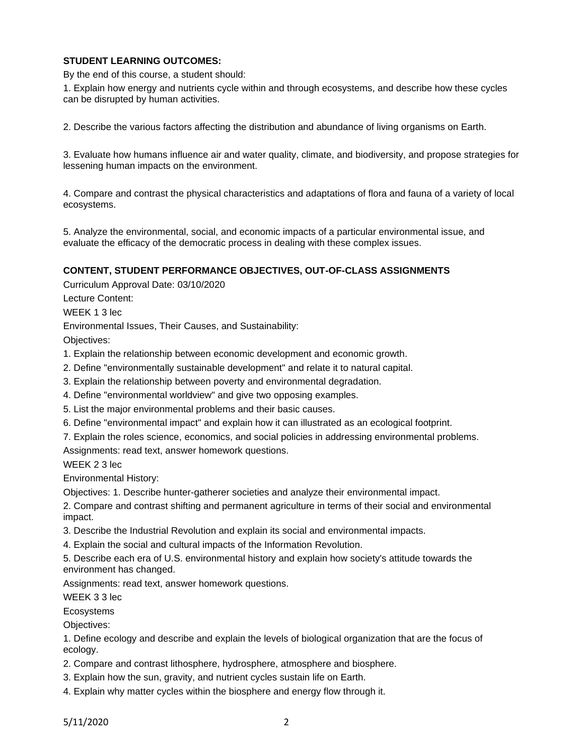# **STUDENT LEARNING OUTCOMES:**

By the end of this course, a student should:

1. Explain how energy and nutrients cycle within and through ecosystems, and describe how these cycles can be disrupted by human activities.

2. Describe the various factors affecting the distribution and abundance of living organisms on Earth.

3. Evaluate how humans influence air and water quality, climate, and biodiversity, and propose strategies for lessening human impacts on the environment.

4. Compare and contrast the physical characteristics and adaptations of flora and fauna of a variety of local ecosystems.

5. Analyze the environmental, social, and economic impacts of a particular environmental issue, and evaluate the efficacy of the democratic process in dealing with these complex issues.

#### **CONTENT, STUDENT PERFORMANCE OBJECTIVES, OUT-OF-CLASS ASSIGNMENTS**

Curriculum Approval Date: 03/10/2020

Lecture Content:

WEEK 1 3 lec

Environmental Issues, Their Causes, and Sustainability:

Objectives:

- 1. Explain the relationship between economic development and economic growth.
- 2. Define "environmentally sustainable development" and relate it to natural capital.
- 3. Explain the relationship between poverty and environmental degradation.
- 4. Define "environmental worldview" and give two opposing examples.
- 5. List the major environmental problems and their basic causes.
- 6. Define "environmental impact" and explain how it can illustrated as an ecological footprint.
- 7. Explain the roles science, economics, and social policies in addressing environmental problems.

Assignments: read text, answer homework questions.

WEEK 2 3 lec

Environmental History:

Objectives: 1. Describe hunter-gatherer societies and analyze their environmental impact.

2. Compare and contrast shifting and permanent agriculture in terms of their social and environmental impact.

3. Describe the Industrial Revolution and explain its social and environmental impacts.

4. Explain the social and cultural impacts of the Information Revolution.

5. Describe each era of U.S. environmental history and explain how society's attitude towards the environment has changed.

Assignments: read text, answer homework questions.

WEEK 3 3 lec

Ecosystems

Objectives:

1. Define ecology and describe and explain the levels of biological organization that are the focus of ecology.

- 2. Compare and contrast lithosphere, hydrosphere, atmosphere and biosphere.
- 3. Explain how the sun, gravity, and nutrient cycles sustain life on Earth.
- 4. Explain why matter cycles within the biosphere and energy flow through it.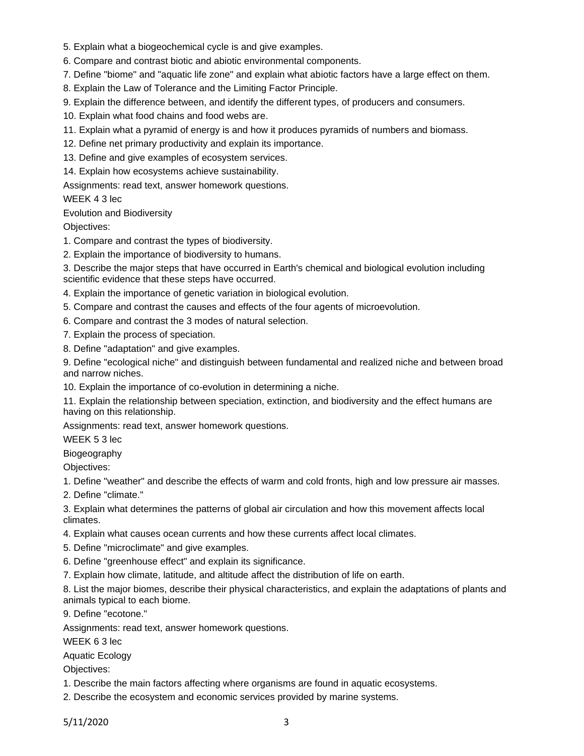- 5. Explain what a biogeochemical cycle is and give examples.
- 6. Compare and contrast biotic and abiotic environmental components.
- 7. Define "biome" and "aquatic life zone" and explain what abiotic factors have a large effect on them.
- 8. Explain the Law of Tolerance and the Limiting Factor Principle.
- 9. Explain the difference between, and identify the different types, of producers and consumers.
- 10. Explain what food chains and food webs are.
- 11. Explain what a pyramid of energy is and how it produces pyramids of numbers and biomass.
- 12. Define net primary productivity and explain its importance.
- 13. Define and give examples of ecosystem services.

14. Explain how ecosystems achieve sustainability.

Assignments: read text, answer homework questions.

# WEEK 4 3 lec

Evolution and Biodiversity

Objectives:

- 1. Compare and contrast the types of biodiversity.
- 2. Explain the importance of biodiversity to humans.

3. Describe the major steps that have occurred in Earth's chemical and biological evolution including scientific evidence that these steps have occurred.

4. Explain the importance of genetic variation in biological evolution.

- 5. Compare and contrast the causes and effects of the four agents of microevolution.
- 6. Compare and contrast the 3 modes of natural selection.
- 7. Explain the process of speciation.
- 8. Define "adaptation" and give examples.

9. Define "ecological niche" and distinguish between fundamental and realized niche and between broad and narrow niches.

10. Explain the importance of co-evolution in determining a niche.

11. Explain the relationship between speciation, extinction, and biodiversity and the effect humans are having on this relationship.

Assignments: read text, answer homework questions.

WEEK 5 3 lec

Biogeography

Objectives:

1. Define "weather" and describe the effects of warm and cold fronts, high and low pressure air masses.

2. Define "climate."

3. Explain what determines the patterns of global air circulation and how this movement affects local climates.

4. Explain what causes ocean currents and how these currents affect local climates.

- 5. Define "microclimate" and give examples.
- 6. Define "greenhouse effect" and explain its significance.

7. Explain how climate, latitude, and altitude affect the distribution of life on earth.

8. List the major biomes, describe their physical characteristics, and explain the adaptations of plants and animals typical to each biome.

9. Define "ecotone."

Assignments: read text, answer homework questions.

WEEK 6 3 lec

Aquatic Ecology

Objectives:

- 1. Describe the main factors affecting where organisms are found in aquatic ecosystems.
- 2. Describe the ecosystem and economic services provided by marine systems.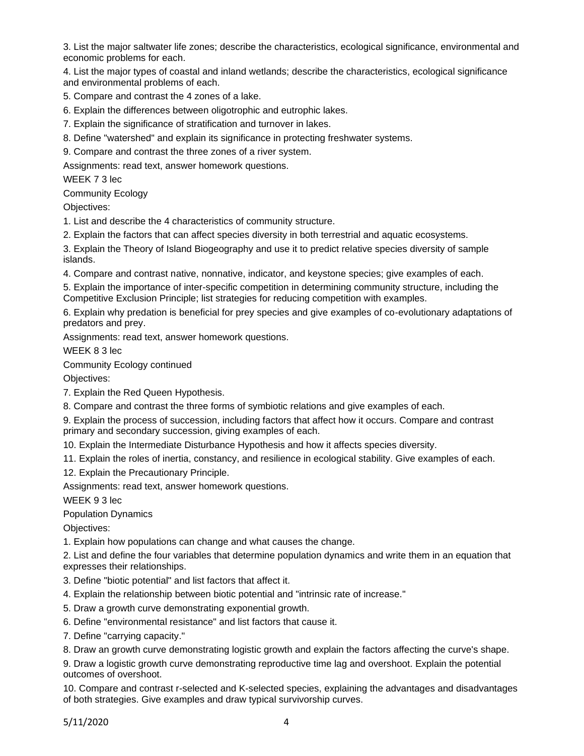3. List the major saltwater life zones; describe the characteristics, ecological significance, environmental and economic problems for each.

4. List the major types of coastal and inland wetlands; describe the characteristics, ecological significance and environmental problems of each.

5. Compare and contrast the 4 zones of a lake.

6. Explain the differences between oligotrophic and eutrophic lakes.

7. Explain the significance of stratification and turnover in lakes.

8. Define "watershed" and explain its significance in protecting freshwater systems.

9. Compare and contrast the three zones of a river system.

Assignments: read text, answer homework questions.

WEEK 7 3 lec

Community Ecology

Objectives:

1. List and describe the 4 characteristics of community structure.

2. Explain the factors that can affect species diversity in both terrestrial and aquatic ecosystems.

3. Explain the Theory of Island Biogeography and use it to predict relative species diversity of sample islands.

4. Compare and contrast native, nonnative, indicator, and keystone species; give examples of each.

5. Explain the importance of inter-specific competition in determining community structure, including the Competitive Exclusion Principle; list strategies for reducing competition with examples.

6. Explain why predation is beneficial for prey species and give examples of co-evolutionary adaptations of predators and prey.

Assignments: read text, answer homework questions.

WEEK 8 3 lec

Community Ecology continued

Objectives:

7. Explain the Red Queen Hypothesis.

8. Compare and contrast the three forms of symbiotic relations and give examples of each.

9. Explain the process of succession, including factors that affect how it occurs. Compare and contrast primary and secondary succession, giving examples of each.

10. Explain the Intermediate Disturbance Hypothesis and how it affects species diversity.

11. Explain the roles of inertia, constancy, and resilience in ecological stability. Give examples of each.

12. Explain the Precautionary Principle.

Assignments: read text, answer homework questions.

WEEK 9 3 lec

Population Dynamics

Objectives:

1. Explain how populations can change and what causes the change.

2. List and define the four variables that determine population dynamics and write them in an equation that expresses their relationships.

3. Define "biotic potential" and list factors that affect it.

4. Explain the relationship between biotic potential and "intrinsic rate of increase."

5. Draw a growth curve demonstrating exponential growth.

6. Define "environmental resistance" and list factors that cause it.

7. Define "carrying capacity."

8. Draw an growth curve demonstrating logistic growth and explain the factors affecting the curve's shape.

9. Draw a logistic growth curve demonstrating reproductive time lag and overshoot. Explain the potential outcomes of overshoot.

10. Compare and contrast r-selected and K-selected species, explaining the advantages and disadvantages of both strategies. Give examples and draw typical survivorship curves.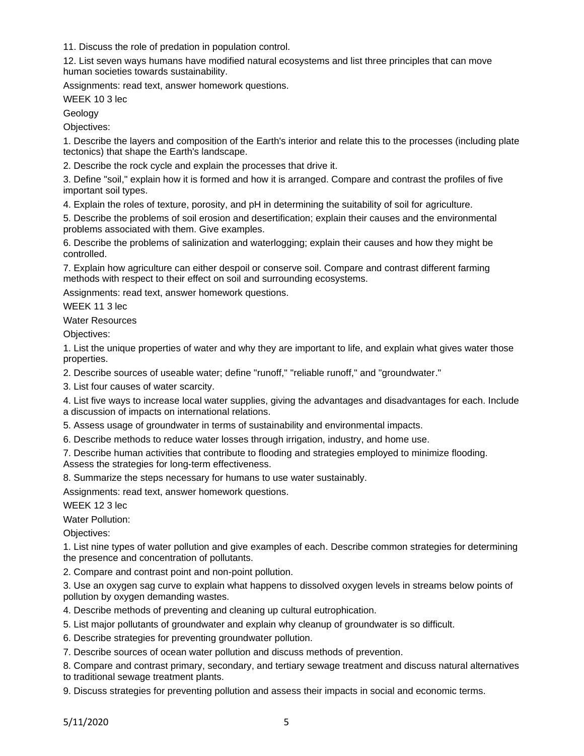11. Discuss the role of predation in population control.

12. List seven ways humans have modified natural ecosystems and list three principles that can move human societies towards sustainability.

Assignments: read text, answer homework questions.

WEEK 10 3 lec

Geology

Objectives:

1. Describe the layers and composition of the Earth's interior and relate this to the processes (including plate tectonics) that shape the Earth's landscape.

2. Describe the rock cycle and explain the processes that drive it.

3. Define "soil," explain how it is formed and how it is arranged. Compare and contrast the profiles of five important soil types.

4. Explain the roles of texture, porosity, and pH in determining the suitability of soil for agriculture.

5. Describe the problems of soil erosion and desertification; explain their causes and the environmental problems associated with them. Give examples.

6. Describe the problems of salinization and waterlogging; explain their causes and how they might be controlled.

7. Explain how agriculture can either despoil or conserve soil. Compare and contrast different farming methods with respect to their effect on soil and surrounding ecosystems.

Assignments: read text, answer homework questions.

WEEK 11 3 lec

Water Resources

Objectives:

1. List the unique properties of water and why they are important to life, and explain what gives water those properties.

2. Describe sources of useable water; define "runoff," "reliable runoff," and "groundwater."

3. List four causes of water scarcity.

4. List five ways to increase local water supplies, giving the advantages and disadvantages for each. Include a discussion of impacts on international relations.

5. Assess usage of groundwater in terms of sustainability and environmental impacts.

6. Describe methods to reduce water losses through irrigation, industry, and home use.

7. Describe human activities that contribute to flooding and strategies employed to minimize flooding. Assess the strategies for long-term effectiveness.

8. Summarize the steps necessary for humans to use water sustainably.

Assignments: read text, answer homework questions.

WEEK 12 3 lec

Water Pollution:

Objectives:

1. List nine types of water pollution and give examples of each. Describe common strategies for determining the presence and concentration of pollutants.

2. Compare and contrast point and non-point pollution.

3. Use an oxygen sag curve to explain what happens to dissolved oxygen levels in streams below points of pollution by oxygen demanding wastes.

4. Describe methods of preventing and cleaning up cultural eutrophication.

5. List major pollutants of groundwater and explain why cleanup of groundwater is so difficult.

6. Describe strategies for preventing groundwater pollution.

7. Describe sources of ocean water pollution and discuss methods of prevention.

8. Compare and contrast primary, secondary, and tertiary sewage treatment and discuss natural alternatives to traditional sewage treatment plants.

9. Discuss strategies for preventing pollution and assess their impacts in social and economic terms.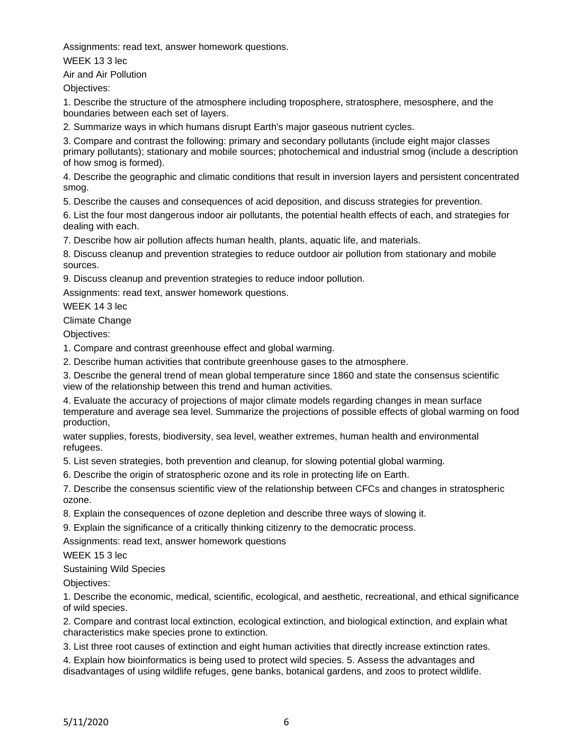Assignments: read text, answer homework questions.

WEEK 13 3 lec

Air and Air Pollution

Objectives:

1. Describe the structure of the atmosphere including troposphere, stratosphere, mesosphere, and the boundaries between each set of layers.

2. Summarize ways in which humans disrupt Earth's major gaseous nutrient cycles.

3. Compare and contrast the following: primary and secondary pollutants (include eight major classes primary pollutants); stationary and mobile sources; photochemical and industrial smog (include a description of how smog is formed).

4. Describe the geographic and climatic conditions that result in inversion layers and persistent concentrated smog.

5. Describe the causes and consequences of acid deposition, and discuss strategies for prevention.

6. List the four most dangerous indoor air pollutants, the potential health effects of each, and strategies for dealing with each.

7. Describe how air pollution affects human health, plants, aquatic life, and materials.

8. Discuss cleanup and prevention strategies to reduce outdoor air pollution from stationary and mobile sources.

9. Discuss cleanup and prevention strategies to reduce indoor pollution.

Assignments: read text, answer homework questions.

WEEK 14 3 lec

Climate Change

Objectives:

1. Compare and contrast greenhouse effect and global warming.

2. Describe human activities that contribute greenhouse gases to the atmosphere.

3. Describe the general trend of mean global temperature since 1860 and state the consensus scientific view of the relationship between this trend and human activities.

4. Evaluate the accuracy of projections of major climate models regarding changes in mean surface temperature and average sea level. Summarize the projections of possible effects of global warming on food production,

water supplies, forests, biodiversity, sea level, weather extremes, human health and environmental refugees.

5. List seven strategies, both prevention and cleanup, for slowing potential global warming.

6. Describe the origin of stratospheric ozone and its role in protecting life on Earth.

7. Describe the consensus scientific view of the relationship between CFCs and changes in stratospheric ozone.

8. Explain the consequences of ozone depletion and describe three ways of slowing it.

9. Explain the significance of a critically thinking citizenry to the democratic process.

Assignments: read text, answer homework questions

WEEK 15 3 lec

Sustaining Wild Species

Objectives:

1. Describe the economic, medical, scientific, ecological, and aesthetic, recreational, and ethical significance of wild species.

2. Compare and contrast local extinction, ecological extinction, and biological extinction, and explain what characteristics make species prone to extinction.

3. List three root causes of extinction and eight human activities that directly increase extinction rates.

4. Explain how bioinformatics is being used to protect wild species. 5. Assess the advantages and disadvantages of using wildlife refuges, gene banks, botanical gardens, and zoos to protect wildlife.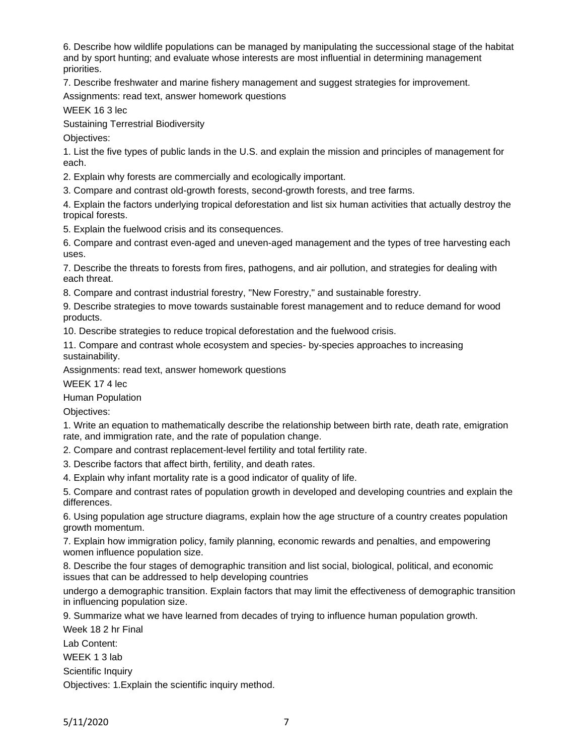6. Describe how wildlife populations can be managed by manipulating the successional stage of the habitat and by sport hunting; and evaluate whose interests are most influential in determining management priorities.

7. Describe freshwater and marine fishery management and suggest strategies for improvement.

Assignments: read text, answer homework questions

WEEK 16 3 lec

Sustaining Terrestrial Biodiversity

Objectives:

1. List the five types of public lands in the U.S. and explain the mission and principles of management for each.

2. Explain why forests are commercially and ecologically important.

3. Compare and contrast old-growth forests, second-growth forests, and tree farms.

4. Explain the factors underlying tropical deforestation and list six human activities that actually destroy the tropical forests.

5. Explain the fuelwood crisis and its consequences.

6. Compare and contrast even-aged and uneven-aged management and the types of tree harvesting each uses.

7. Describe the threats to forests from fires, pathogens, and air pollution, and strategies for dealing with each threat.

8. Compare and contrast industrial forestry, "New Forestry," and sustainable forestry.

9. Describe strategies to move towards sustainable forest management and to reduce demand for wood products.

10. Describe strategies to reduce tropical deforestation and the fuelwood crisis.

11. Compare and contrast whole ecosystem and species- by-species approaches to increasing sustainability.

Assignments: read text, answer homework questions

WEEK 17 4 lec

Human Population

Objectives:

1. Write an equation to mathematically describe the relationship between birth rate, death rate, emigration rate, and immigration rate, and the rate of population change.

2. Compare and contrast replacement-level fertility and total fertility rate.

3. Describe factors that affect birth, fertility, and death rates.

4. Explain why infant mortality rate is a good indicator of quality of life.

5. Compare and contrast rates of population growth in developed and developing countries and explain the differences.

6. Using population age structure diagrams, explain how the age structure of a country creates population growth momentum.

7. Explain how immigration policy, family planning, economic rewards and penalties, and empowering women influence population size.

8. Describe the four stages of demographic transition and list social, biological, political, and economic issues that can be addressed to help developing countries

undergo a demographic transition. Explain factors that may limit the effectiveness of demographic transition in influencing population size.

9. Summarize what we have learned from decades of trying to influence human population growth.

Week 18 2 hr Final

Lab Content:

WEEK 1 3 lab

Scientific Inquiry

Objectives: 1.Explain the scientific inquiry method.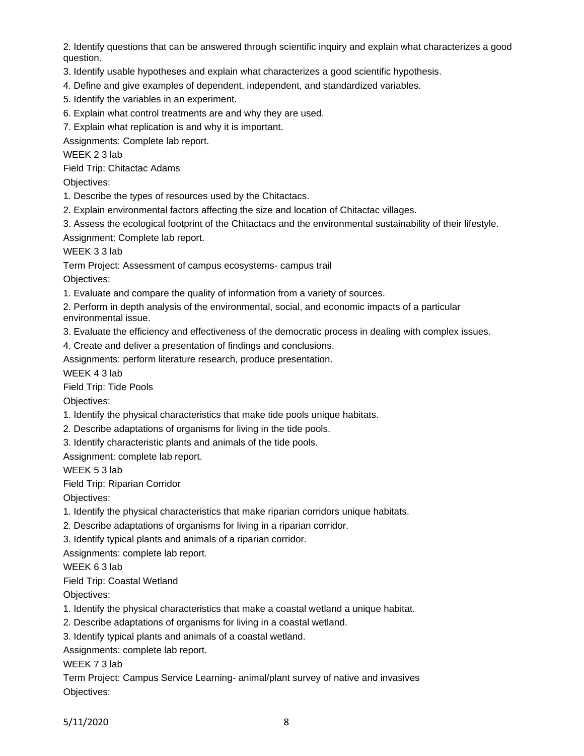2. Identify questions that can be answered through scientific inquiry and explain what characterizes a good question.

- 3. Identify usable hypotheses and explain what characterizes a good scientific hypothesis.
- 4. Define and give examples of dependent, independent, and standardized variables.
- 5. Identify the variables in an experiment.
- 6. Explain what control treatments are and why they are used.
- 7. Explain what replication is and why it is important.

Assignments: Complete lab report.

WEEK 2 3 lab

Field Trip: Chitactac Adams

Objectives:

1. Describe the types of resources used by the Chitactacs.

- 2. Explain environmental factors affecting the size and location of Chitactac villages.
- 3. Assess the ecological footprint of the Chitactacs and the environmental sustainability of their lifestyle.

Assignment: Complete lab report.

WEEK 3 3 lab

Term Project: Assessment of campus ecosystems- campus trail

Objectives:

1. Evaluate and compare the quality of information from a variety of sources.

2. Perform in depth analysis of the environmental, social, and economic impacts of a particular environmental issue.

3. Evaluate the efficiency and effectiveness of the democratic process in dealing with complex issues.

4. Create and deliver a presentation of findings and conclusions.

Assignments: perform literature research, produce presentation.

WEEK 4 3 lab

Field Trip: Tide Pools

Objectives:

- 1. Identify the physical characteristics that make tide pools unique habitats.
- 2. Describe adaptations of organisms for living in the tide pools.

3. Identify characteristic plants and animals of the tide pools.

Assignment: complete lab report.

WEEK 5 3 lab

Field Trip: Riparian Corridor

Objectives:

1. Identify the physical characteristics that make riparian corridors unique habitats.

2. Describe adaptations of organisms for living in a riparian corridor.

3. Identify typical plants and animals of a riparian corridor.

Assignments: complete lab report.

WEEK 6 3 lab

Field Trip: Coastal Wetland

Objectives:

1. Identify the physical characteristics that make a coastal wetland a unique habitat.

2. Describe adaptations of organisms for living in a coastal wetland.

3. Identify typical plants and animals of a coastal wetland.

Assignments: complete lab report.

WEEK 7 3 lab

Term Project: Campus Service Learning- animal/plant survey of native and invasives Objectives: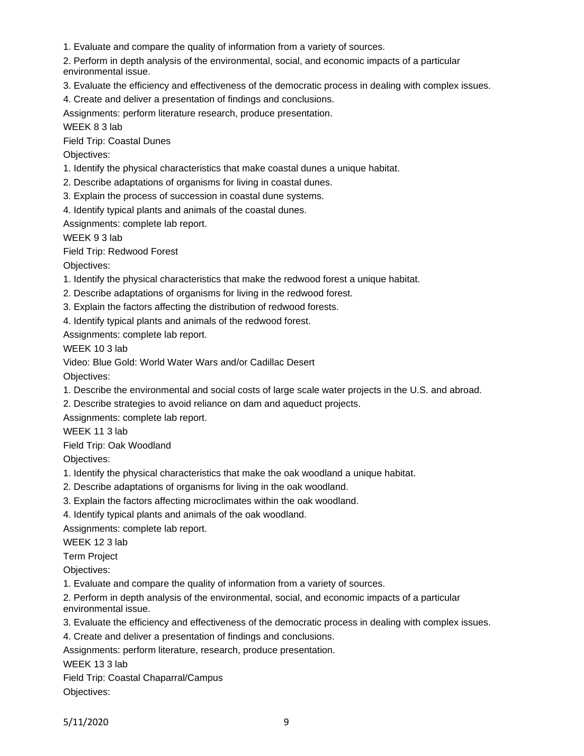1. Evaluate and compare the quality of information from a variety of sources.

2. Perform in depth analysis of the environmental, social, and economic impacts of a particular environmental issue.

- 3. Evaluate the efficiency and effectiveness of the democratic process in dealing with complex issues.
- 4. Create and deliver a presentation of findings and conclusions.

Assignments: perform literature research, produce presentation.

WEEK 8 3 lab

Field Trip: Coastal Dunes

Objectives:

- 1. Identify the physical characteristics that make coastal dunes a unique habitat.
- 2. Describe adaptations of organisms for living in coastal dunes.
- 3. Explain the process of succession in coastal dune systems.
- 4. Identify typical plants and animals of the coastal dunes.

Assignments: complete lab report.

WEEK 9 3 lab

Field Trip: Redwood Forest

Objectives:

- 1. Identify the physical characteristics that make the redwood forest a unique habitat.
- 2. Describe adaptations of organisms for living in the redwood forest.
- 3. Explain the factors affecting the distribution of redwood forests.
- 4. Identify typical plants and animals of the redwood forest.

Assignments: complete lab report.

WEEK 10 3 lab

Video: Blue Gold: World Water Wars and/or Cadillac Desert

Objectives:

1. Describe the environmental and social costs of large scale water projects in the U.S. and abroad.

2. Describe strategies to avoid reliance on dam and aqueduct projects.

Assignments: complete lab report.

WEEK 11 3 lab

Field Trip: Oak Woodland

Objectives:

- 1. Identify the physical characteristics that make the oak woodland a unique habitat.
- 2. Describe adaptations of organisms for living in the oak woodland.
- 3. Explain the factors affecting microclimates within the oak woodland.
- 4. Identify typical plants and animals of the oak woodland.

Assignments: complete lab report.

WEEK 12 3 lab

Term Project

Objectives:

1. Evaluate and compare the quality of information from a variety of sources.

2. Perform in depth analysis of the environmental, social, and economic impacts of a particular environmental issue.

- 3. Evaluate the efficiency and effectiveness of the democratic process in dealing with complex issues.
- 4. Create and deliver a presentation of findings and conclusions.

Assignments: perform literature, research, produce presentation.

WEEK 133 lab

|  |  |  | Field Trip: Coastal Chaparral/Campus |
|--|--|--|--------------------------------------|
|--|--|--|--------------------------------------|

Objectives: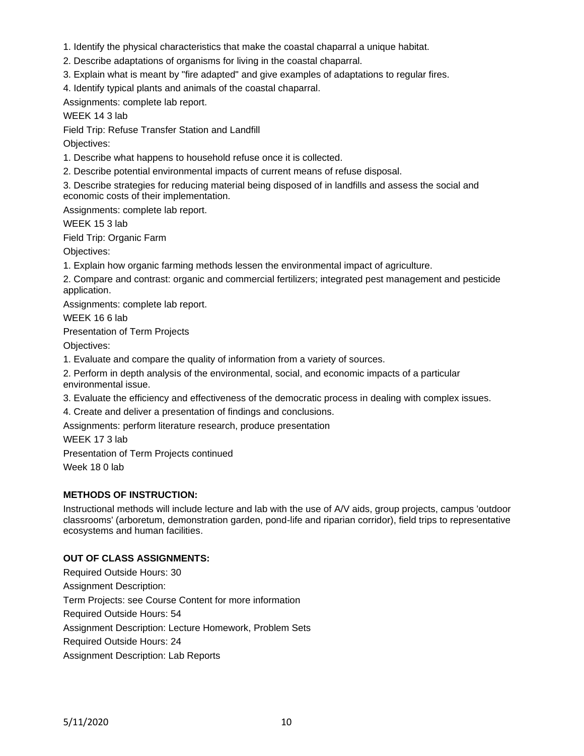- 1. Identify the physical characteristics that make the coastal chaparral a unique habitat.
- 2. Describe adaptations of organisms for living in the coastal chaparral.
- 3. Explain what is meant by "fire adapted" and give examples of adaptations to regular fires.
- 4. Identify typical plants and animals of the coastal chaparral.

Assignments: complete lab report.

WEEK 14 3 lab

Field Trip: Refuse Transfer Station and Landfill

Objectives:

1. Describe what happens to household refuse once it is collected.

2. Describe potential environmental impacts of current means of refuse disposal.

3. Describe strategies for reducing material being disposed of in landfills and assess the social and economic costs of their implementation.

Assignments: complete lab report.

WEEK 15 3 lab

Field Trip: Organic Farm

Objectives:

1. Explain how organic farming methods lessen the environmental impact of agriculture.

2. Compare and contrast: organic and commercial fertilizers; integrated pest management and pesticide application.

Assignments: complete lab report.

WEEK 16 6 lab

Presentation of Term Projects

Objectives:

1. Evaluate and compare the quality of information from a variety of sources.

2. Perform in depth analysis of the environmental, social, and economic impacts of a particular environmental issue.

3. Evaluate the efficiency and effectiveness of the democratic process in dealing with complex issues.

4. Create and deliver a presentation of findings and conclusions.

Assignments: perform literature research, produce presentation

WEEK 17 3 lab

Presentation of Term Projects continued

Week 18 0 lab

# **METHODS OF INSTRUCTION:**

Instructional methods will include lecture and lab with the use of A/V aids, group projects, campus 'outdoor classrooms' (arboretum, demonstration garden, pond-life and riparian corridor), field trips to representative ecosystems and human facilities.

# **OUT OF CLASS ASSIGNMENTS:**

Required Outside Hours: 30 Assignment Description: Term Projects: see Course Content for more information Required Outside Hours: 54 Assignment Description: Lecture Homework, Problem Sets Required Outside Hours: 24 Assignment Description: Lab Reports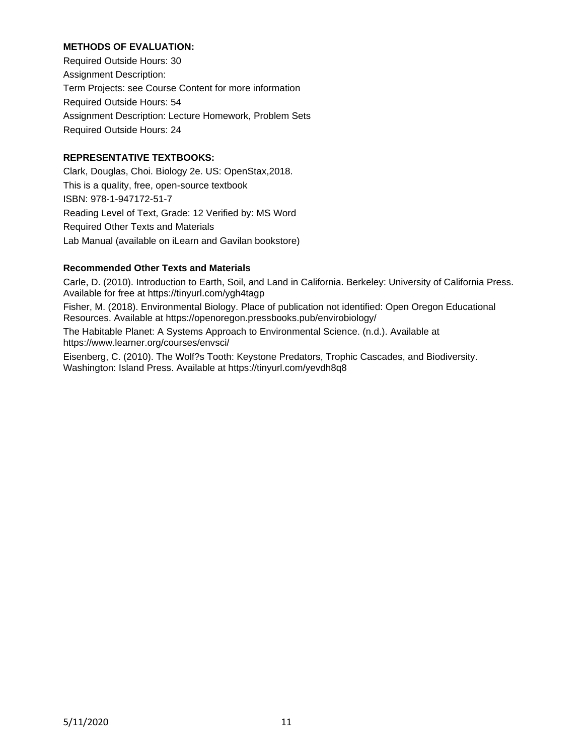## **METHODS OF EVALUATION:**

Required Outside Hours: 30 Assignment Description: Term Projects: see Course Content for more information Required Outside Hours: 54 Assignment Description: Lecture Homework, Problem Sets Required Outside Hours: 24

# **REPRESENTATIVE TEXTBOOKS:**

Clark, Douglas, Choi. Biology 2e. US: OpenStax,2018. This is a quality, free, open-source textbook ISBN: 978-1-947172-51-7 Reading Level of Text, Grade: 12 Verified by: MS Word Required Other Texts and Materials Lab Manual (available on iLearn and Gavilan bookstore)

## **Recommended Other Texts and Materials**

Carle, D. (2010). Introduction to Earth, Soil, and Land in California. Berkeley: University of California Press. Available for free at https://tinyurl.com/ygh4tagp

Fisher, M. (2018). Environmental Biology. Place of publication not identified: Open Oregon Educational Resources. Available at https://openoregon.pressbooks.pub/envirobiology/

The Habitable Planet: A Systems Approach to Environmental Science. (n.d.). Available at https://www.learner.org/courses/envsci/

Eisenberg, C. (2010). The Wolf?s Tooth: Keystone Predators, Trophic Cascades, and Biodiversity. Washington: Island Press. Available at https://tinyurl.com/yevdh8q8